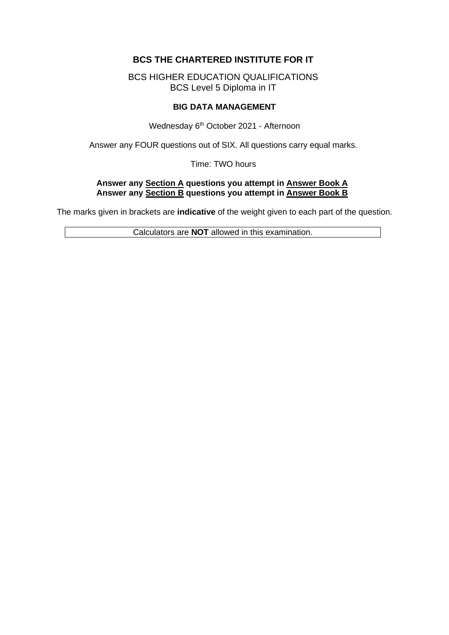# **BCS THE CHARTERED INSTITUTE FOR IT**

BCS HIGHER EDUCATION QUALIFICATIONS BCS Level 5 Diploma in IT

### **BIG DATA MANAGEMENT**

Wednesday 6<sup>th</sup> October 2021 - Afternoon

Answer any FOUR questions out of SIX. All questions carry equal marks.

Time: TWO hours

### **Answer any Section A questions you attempt in Answer Book A Answer any Section B questions you attempt in Answer Book B**

The marks given in brackets are **indicative** of the weight given to each part of the question.

Calculators are **NOT** allowed in this examination.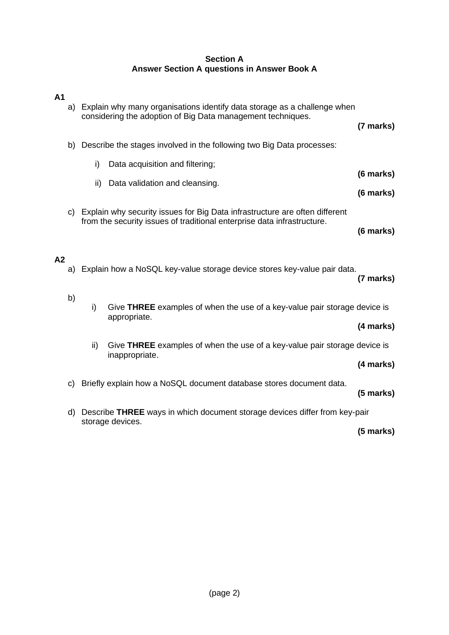### **Section A Answer Section A questions in Answer Book A**

| A <sub>1</sub> | a) | Explain why many organisations identify data storage as a challenge when<br>considering the adoption of Big Data management techniques.                                          |                                                                                                |             |  |
|----------------|----|----------------------------------------------------------------------------------------------------------------------------------------------------------------------------------|------------------------------------------------------------------------------------------------|-------------|--|
|                |    | b) Describe the stages involved in the following two Big Data processes:                                                                                                         |                                                                                                |             |  |
|                |    | i)                                                                                                                                                                               | Data acquisition and filtering;                                                                | (6 marks)   |  |
|                |    | ii)                                                                                                                                                                              | Data validation and cleansing.                                                                 |             |  |
| A <sub>2</sub> | C) | (6 marks)<br>Explain why security issues for Big Data infrastructure are often different<br>from the security issues of traditional enterprise data infrastructure.<br>(6 marks) |                                                                                                |             |  |
|                | a) |                                                                                                                                                                                  | Explain how a NoSQL key-value storage device stores key-value pair data.                       | (7 marks)   |  |
|                | b) | i)                                                                                                                                                                               | Give THREE examples of when the use of a key-value pair storage device is<br>appropriate.      | (4 marks)   |  |
|                |    | ii)                                                                                                                                                                              | Give THREE examples of when the use of a key-value pair storage device is<br>inappropriate.    | (4 marks)   |  |
|                | C) |                                                                                                                                                                                  | Briefly explain how a NoSQL document database stores document data.                            | $(5$ marks) |  |
|                | d) |                                                                                                                                                                                  | Describe THREE ways in which document storage devices differ from key-pair<br>storage devices. | $(5$ marks) |  |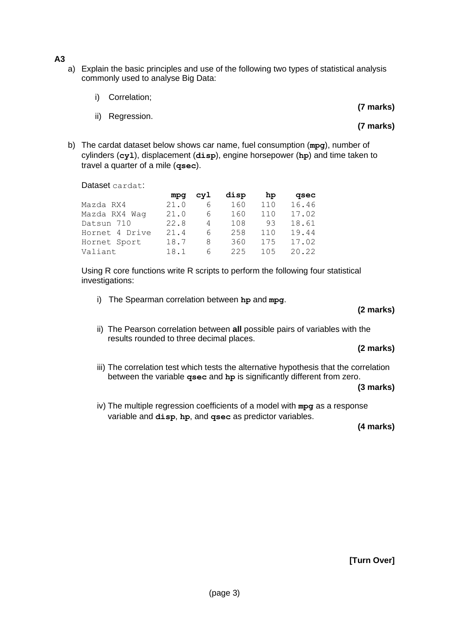- **A3**
	- a) Explain the basic principles and use of the following two types of statistical analysis commonly used to analyse Big Data:
		- i) Correlation;
		- ii) Regression.
- **(7 marks)**
- **(7 marks)**
- b) The cardat dataset below shows car name, fuel consumption (**mpg**), number of cylinders (**cyl**), displacement (**disp**), engine horsepower (**hp**) and time taken to travel a quarter of a mile (**qsec**).

Dataset cardat:

|                | mpa  | cyl | disp | hp  | qsec  |
|----------------|------|-----|------|-----|-------|
| Mazda RX4      | 21.0 | 6   | 160  | 110 | 16.46 |
| Mazda RX4 Waq  | 21.0 | 6   | 160  | 110 | 17.02 |
| Datsun 710     | 22.8 | 4   | 108  | 93  | 18.61 |
| Hornet 4 Drive | 21.4 | 6   | 258  | 110 | 19.44 |
| Hornet Sport   | 18.7 | 8   | 360  | 175 | 17.02 |
| Valiant        | 18.1 | 6   | 225  | 105 | 20.22 |

Using R core functions write R scripts to perform the following four statistical investigations:

i) The Spearman correlation between **hp** and **mpg**.

#### **(2 marks)**

ii) The Pearson correlation between **all** possible pairs of variables with the results rounded to three decimal places.

#### **(2 marks)**

iii) The correlation test which tests the alternative hypothesis that the correlation between the variable **qsec** and **hp** is significantly different from zero.

#### **(3 marks)**

iv) The multiple regression coefficients of a model with **mpg** as a response variable and **disp**, **hp**, and **qsec** as predictor variables.

**(4 marks)**

**[Turn Over]**